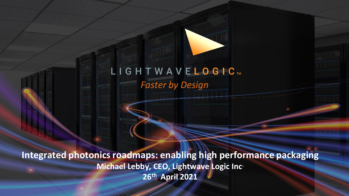# LIGHTWAVELOGICT *Faster by Design*

**Integrated photonics roadmaps: enabling high performance packaging Michael Lebby, CEO, Lightwave Logic Inc. 26th April 2021**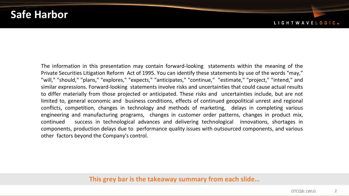### **Safe Harbor**

The information in this presentation may contain forward-looking statements within the meaning of the Private Securities Litigation Reform Act of 1995. You can identify these statements by use of the words "may," "will," "should," "plans," "explores," "expects," "anticipates," "continue," "estimate," "project," "intend," and similar expressions. Forward-looking statements involve risks and uncertainties that could cause actual results to differ materially from those projected or anticipated. These risks and uncertainties include, but are not limited to, general economic and business conditions, effects of continued geopolitical unrest and regional conflicts, competition, changes in technology and methods of marketing, delays in completing various engineering and manufacturing programs, changes in customer order patterns, changes in product mix, continued success in technological advances and delivering technological innovations, shortages in components, production delays due to performance quality issues with outsourced components, and various other factors beyond the Company's control.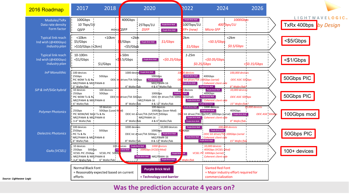

#### **Was the prediction accurate 4 years on?**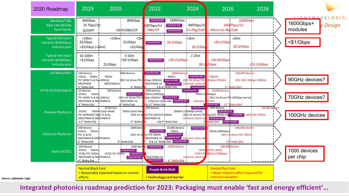

**Integrated photonics roadmap prediction for 2023: Packaging must enable 'fast and energy efficient'…**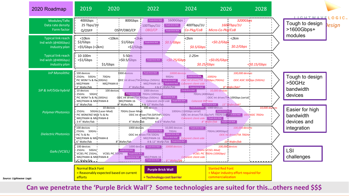

**Can we penetrate the 'Purple Brick Wall'? Some technologies are suited for this…others need \$\$\$**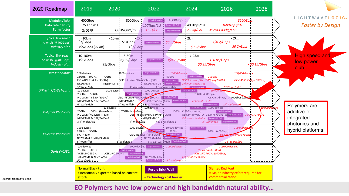

#### **EO Polymers have low power and high bandwidth natural ability…**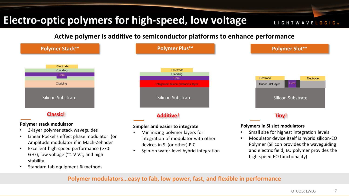## **Electro-optic polymers for high-speed, low voltage**

LIGHTWAVELOGIC ..

**Active polymer is additive to semiconductor platforms to enhance performance**



- GHz), low voltage (~1 V Vπ, and high stability.
- Standard fab equipment & methods

• Spin-on wafer-level hybrid integration

- 
- Modulator device itself is hybrid silicon-EO Polymer (Silicon provides the waveguiding and electric field, EO polymer provides the high-speed EO functionality)

**Polymer modulators…easy to fab, low power, fast, and flexible in performance**